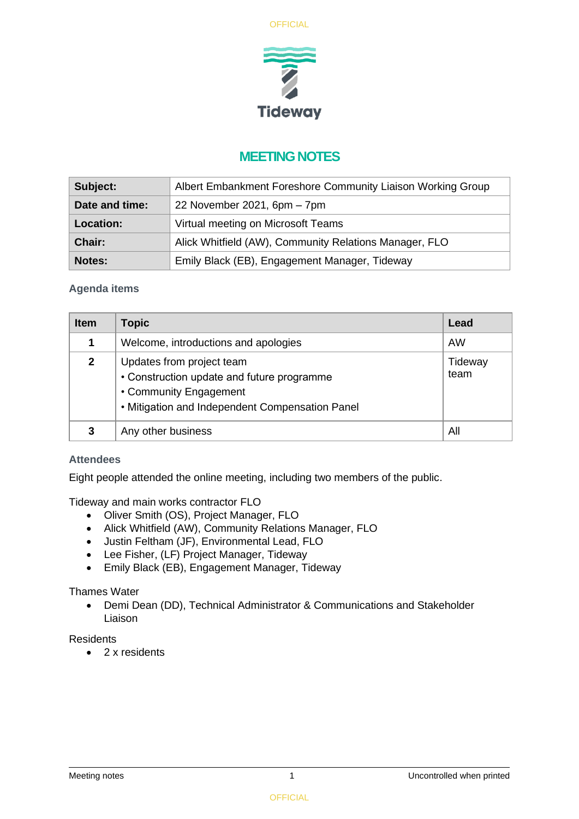



# **MEETING NOTES**

| Subject:         | Albert Embankment Foreshore Community Liaison Working Group |  |
|------------------|-------------------------------------------------------------|--|
| Date and time:   | 22 November 2021, 6pm - 7pm                                 |  |
| <b>Location:</b> | Virtual meeting on Microsoft Teams                          |  |
| Chair:           | Alick Whitfield (AW), Community Relations Manager, FLO      |  |
| <b>Notes:</b>    | Emily Black (EB), Engagement Manager, Tideway               |  |

## **Agenda items**

| <b>Item</b>  | <b>Topic</b>                                                                                                                                         | Lead            |
|--------------|------------------------------------------------------------------------------------------------------------------------------------------------------|-----------------|
|              | Welcome, introductions and apologies                                                                                                                 | AW              |
| $\mathbf{2}$ | Updates from project team<br>• Construction update and future programme<br>• Community Engagement<br>• Mitigation and Independent Compensation Panel | Tideway<br>team |
|              | Any other business                                                                                                                                   | All             |

### **Attendees**

Eight people attended the online meeting, including two members of the public.

Tideway and main works contractor FLO

- Oliver Smith (OS), Project Manager, FLO
- Alick Whitfield (AW), Community Relations Manager, FLO
- Justin Feltham (JF), Environmental Lead, FLO
- Lee Fisher, (LF) Project Manager, Tideway
- Emily Black (EB), Engagement Manager, Tideway

## Thames Water

• Demi Dean (DD), Technical Administrator & Communications and Stakeholder Liaison

### Residents

• 2 x residents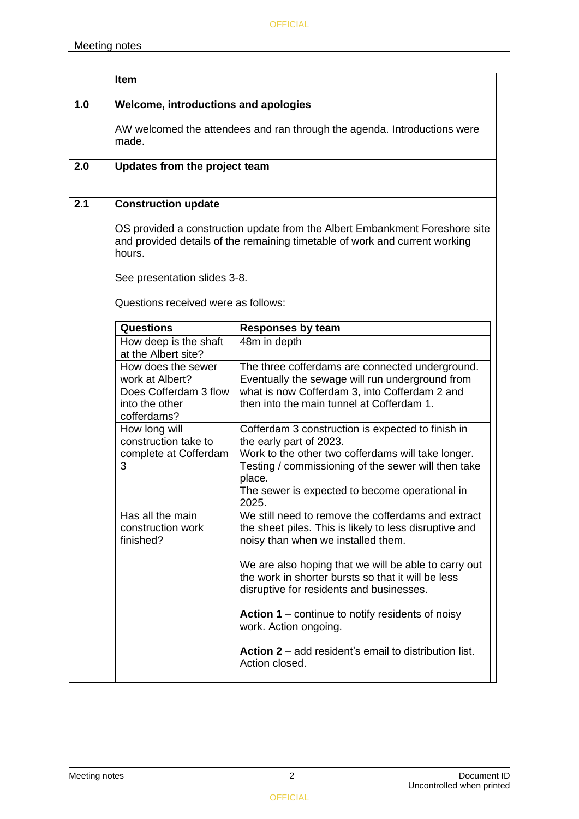|     | Item                                                                                            |                                                                                                                                                                                                                                                                |  |  |  |
|-----|-------------------------------------------------------------------------------------------------|----------------------------------------------------------------------------------------------------------------------------------------------------------------------------------------------------------------------------------------------------------------|--|--|--|
| 1.0 | Welcome, introductions and apologies                                                            |                                                                                                                                                                                                                                                                |  |  |  |
|     | made.                                                                                           | AW welcomed the attendees and ran through the agenda. Introductions were                                                                                                                                                                                       |  |  |  |
| 2.0 | Updates from the project team                                                                   |                                                                                                                                                                                                                                                                |  |  |  |
| 2.1 | <b>Construction update</b>                                                                      |                                                                                                                                                                                                                                                                |  |  |  |
|     | hours.                                                                                          | OS provided a construction update from the Albert Embankment Foreshore site<br>and provided details of the remaining timetable of work and current working<br>See presentation slides 3-8.<br>Questions received were as follows:                              |  |  |  |
|     | <b>Questions</b>                                                                                | <b>Responses by team</b>                                                                                                                                                                                                                                       |  |  |  |
|     | How deep is the shaft<br>at the Albert site?                                                    | 48m in depth                                                                                                                                                                                                                                                   |  |  |  |
|     | How does the sewer<br>work at Albert?<br>Does Cofferdam 3 flow<br>into the other<br>cofferdams? | The three cofferdams are connected underground.<br>Eventually the sewage will run underground from<br>what is now Cofferdam 3, into Cofferdam 2 and<br>then into the main tunnel at Cofferdam 1.                                                               |  |  |  |
|     | How long will<br>construction take to<br>complete at Cofferdam<br>3                             | Cofferdam 3 construction is expected to finish in<br>the early part of 2023.<br>Work to the other two cofferdams will take longer.<br>Testing / commissioning of the sewer will then take<br>place.<br>The sewer is expected to become operational in<br>2025. |  |  |  |
|     | Has all the main<br>construction work<br>finished?                                              | We still need to remove the cofferdams and extract<br>the sheet piles. This is likely to less disruptive and<br>noisy than when we installed them.                                                                                                             |  |  |  |
|     |                                                                                                 | We are also hoping that we will be able to carry out<br>the work in shorter bursts so that it will be less<br>disruptive for residents and businesses.                                                                                                         |  |  |  |
|     |                                                                                                 | Action 1 – continue to notify residents of noisy<br>work. Action ongoing.                                                                                                                                                                                      |  |  |  |
|     |                                                                                                 | <b>Action 2</b> – add resident's email to distribution list.<br>Action closed.                                                                                                                                                                                 |  |  |  |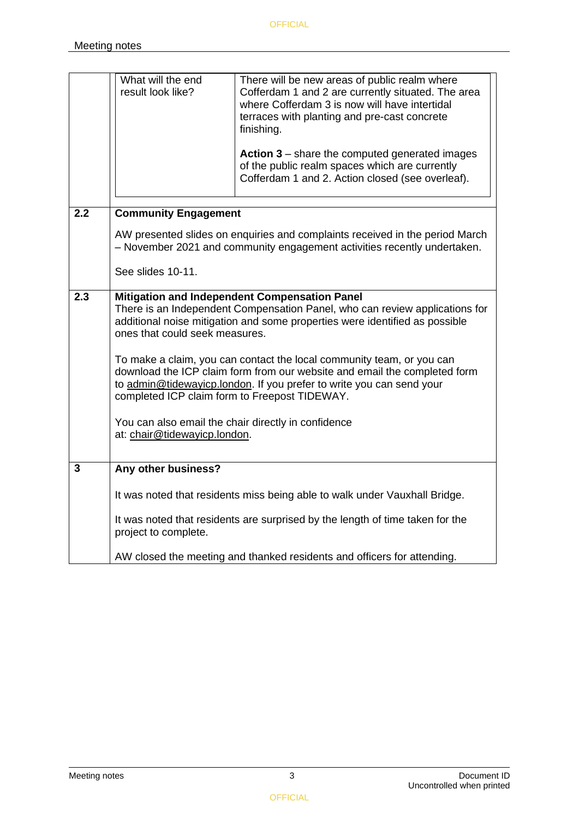|                | What will the end<br>result look like?                                                                                                                                                                                                                                                                                                                                                                                                                                                                                                                                              | There will be new areas of public realm where<br>Cofferdam 1 and 2 are currently situated. The area<br>where Cofferdam 3 is now will have intertidal<br>terraces with planting and pre-cast concrete<br>finishing.<br><b>Action 3</b> – share the computed generated images<br>of the public realm spaces which are currently<br>Cofferdam 1 and 2. Action closed (see overleaf). |  |
|----------------|-------------------------------------------------------------------------------------------------------------------------------------------------------------------------------------------------------------------------------------------------------------------------------------------------------------------------------------------------------------------------------------------------------------------------------------------------------------------------------------------------------------------------------------------------------------------------------------|-----------------------------------------------------------------------------------------------------------------------------------------------------------------------------------------------------------------------------------------------------------------------------------------------------------------------------------------------------------------------------------|--|
| 2.2            | <b>Community Engagement</b>                                                                                                                                                                                                                                                                                                                                                                                                                                                                                                                                                         |                                                                                                                                                                                                                                                                                                                                                                                   |  |
|                | AW presented slides on enquiries and complaints received in the period March<br>- November 2021 and community engagement activities recently undertaken.                                                                                                                                                                                                                                                                                                                                                                                                                            |                                                                                                                                                                                                                                                                                                                                                                                   |  |
|                | See slides 10-11.                                                                                                                                                                                                                                                                                                                                                                                                                                                                                                                                                                   |                                                                                                                                                                                                                                                                                                                                                                                   |  |
| 2.3            | Mitigation and Independent Compensation Panel<br>There is an Independent Compensation Panel, who can review applications for<br>additional noise mitigation and some properties were identified as possible<br>ones that could seek measures.<br>To make a claim, you can contact the local community team, or you can<br>download the ICP claim form from our website and email the completed form<br>to admin@tidewayicp.london. If you prefer to write you can send your<br>completed ICP claim form to Freepost TIDEWAY.<br>You can also email the chair directly in confidence |                                                                                                                                                                                                                                                                                                                                                                                   |  |
|                | at: chair@tidewayicp.london.                                                                                                                                                                                                                                                                                                                                                                                                                                                                                                                                                        |                                                                                                                                                                                                                                                                                                                                                                                   |  |
| $\overline{3}$ | Any other business?                                                                                                                                                                                                                                                                                                                                                                                                                                                                                                                                                                 |                                                                                                                                                                                                                                                                                                                                                                                   |  |
|                |                                                                                                                                                                                                                                                                                                                                                                                                                                                                                                                                                                                     | It was noted that residents miss being able to walk under Vauxhall Bridge.                                                                                                                                                                                                                                                                                                        |  |
|                | project to complete.                                                                                                                                                                                                                                                                                                                                                                                                                                                                                                                                                                | It was noted that residents are surprised by the length of time taken for the                                                                                                                                                                                                                                                                                                     |  |
|                |                                                                                                                                                                                                                                                                                                                                                                                                                                                                                                                                                                                     | AW closed the meeting and thanked residents and officers for attending.                                                                                                                                                                                                                                                                                                           |  |